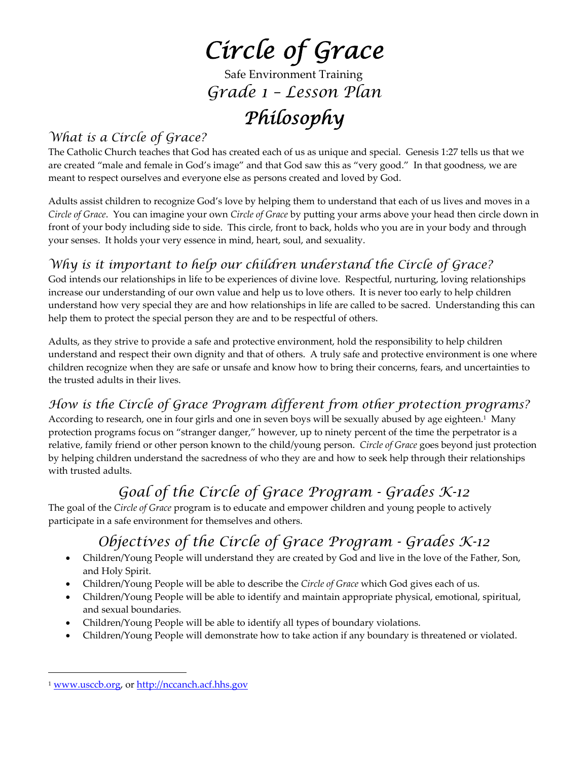## *Circle of Grace*

Safe Environment Training *Grade 1 – Lesson Plan*

## *Philosophy*

#### *What is a Circle of Grace?*

The Catholic Church teaches that God has created each of us as unique and special. Genesis 1:27 tells us that we are created "male and female in God's image" and that God saw this as "very good." In that goodness, we are meant to respect ourselves and everyone else as persons created and loved by God.

Adults assist children to recognize God's love by helping them to understand that each of us lives and moves in a *Circle of Grace*. You can imagine your own *Circle of Grace* by putting your arms above your head then circle down in front of your body including side to side. This circle, front to back, holds who you are in your body and through your senses. It holds your very essence in mind, heart, soul, and sexuality.

#### *Why is it important to help our children understand the Circle of Grace?*

God intends our relationships in life to be experiences of divine love. Respectful, nurturing, loving relationships increase our understanding of our own value and help us to love others. It is never too early to help children understand how very special they are and how relationships in life are called to be sacred. Understanding this can help them to protect the special person they are and to be respectful of others.

Adults, as they strive to provide a safe and protective environment, hold the responsibility to help children understand and respect their own dignity and that of others. A truly safe and protective environment is one where children recognize when they are safe or unsafe and know how to bring their concerns, fears, and uncertainties to the trusted adults in their lives.

#### *How is the Circle of Grace Program different from other protection programs?*

According to research, one in four girls and one in seven boys will be sexually abused by age eighteen.1 Many protection programs focus on "stranger danger," however, up to ninety percent of the time the perpetrator is a relative, family friend or other person known to the child/young person. *Circle of Grace* goes beyond just protection by helping children understand the sacredness of who they are and how to seek help through their relationships with trusted adults.

#### *Goal of the Circle of Grace Program - Grades K-12*

The goal of the *Circle of Grace* program is to educate and empower children and young people to actively participate in a safe environment for themselves and others.

#### *Objectives of the Circle of Grace Program - Grades K-12*

- Children/Young People will understand they are created by God and live in the love of the Father, Son, and Holy Spirit.
- Children/Young People will be able to describe the *Circle of Grace* which God gives each of us.
- Children/Young People will be able to identify and maintain appropriate physical, emotional, spiritual, and sexual boundaries.
- Children/Young People will be able to identify all types of boundary violations.
- Children/Young People will demonstrate how to take action if any boundary is threatened or violated.

 $\overline{a}$ 

<sup>1</sup> www.usccb.org, or http://nccanch.acf.hhs.gov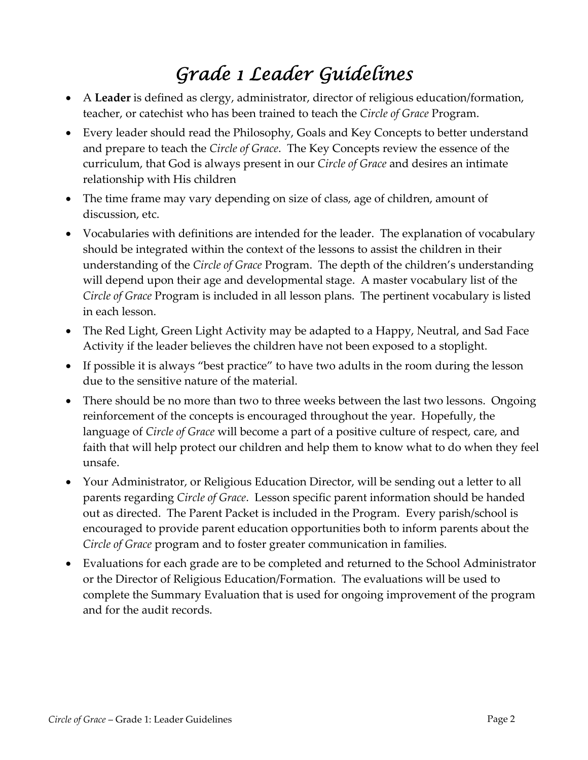## *Grade 1 Leader Guidelines*

- A **Leader** is defined as clergy, administrator, director of religious education/formation, teacher, or catechist who has been trained to teach the *Circle of Grace* Program.
- Every leader should read the Philosophy, Goals and Key Concepts to better understand and prepare to teach the *Circle of Grace*. The Key Concepts review the essence of the curriculum, that God is always present in our *Circle of Grace* and desires an intimate relationship with His children
- The time frame may vary depending on size of class, age of children, amount of discussion, etc.
- Vocabularies with definitions are intended for the leader. The explanation of vocabulary should be integrated within the context of the lessons to assist the children in their understanding of the *Circle of Grace* Program. The depth of the children's understanding will depend upon their age and developmental stage. A master vocabulary list of the *Circle of Grace* Program is included in all lesson plans. The pertinent vocabulary is listed in each lesson.
- The Red Light, Green Light Activity may be adapted to a Happy, Neutral, and Sad Face Activity if the leader believes the children have not been exposed to a stoplight.
- If possible it is always "best practice" to have two adults in the room during the lesson due to the sensitive nature of the material.
- There should be no more than two to three weeks between the last two lessons. Ongoing reinforcement of the concepts is encouraged throughout the year. Hopefully, the language of *Circle of Grace* will become a part of a positive culture of respect, care, and faith that will help protect our children and help them to know what to do when they feel unsafe.
- Your Administrator, or Religious Education Director, will be sending out a letter to all parents regarding *Circle of Grace*. Lesson specific parent information should be handed out as directed. The Parent Packet is included in the Program. Every parish/school is encouraged to provide parent education opportunities both to inform parents about the *Circle of Grace* program and to foster greater communication in families.
- Evaluations for each grade are to be completed and returned to the School Administrator or the Director of Religious Education/Formation. The evaluations will be used to complete the Summary Evaluation that is used for ongoing improvement of the program and for the audit records.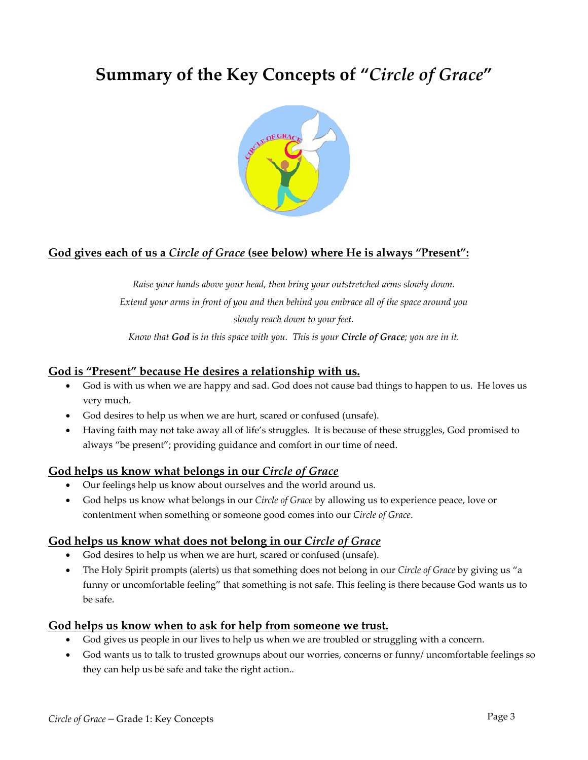### **Summary of the Key Concepts of "***Circle of Grace***"**



#### **God gives each of us a** *Circle of Grace* **(see below) where He is always "Present":**

*Raise your hands above your head, then bring your outstretched arms slowly down. Extend your arms in front of you and then behind you embrace all of the space around you slowly reach down to your feet.*

Know that God is in this space with you. This is your Circle of Grace; you are in it.

#### **God is "Present" because He desires a relationship with us.**

- God is with us when we are happy and sad. God does not cause bad things to happen to us. He loves us very much.
- God desires to help us when we are hurt, scared or confused (unsafe).
- Having faith may not take away all of life's struggles. It is because of these struggles, God promised to always "be present"; providing guidance and comfort in our time of need.

#### **God helps us know what belongs in our** *Circle of Grace*

- Our feelings help us know about ourselves and the world around us.
- God helps us know what belongs in our *Circle of Grace* by allowing us to experience peace, love or contentment when something or someone good comes into our *Circle of Grace*.

#### **God helps us know what does not belong in our** *Circle of Grace*

- God desires to help us when we are hurt, scared or confused (unsafe).
- The Holy Spirit prompts (alerts) us that something does not belong in our *Circle of Grace* by giving us "a funny or uncomfortable feeling" that something is not safe. This feeling is there because God wants us to be safe.

#### **God helps us know when to ask for help from someone we trust.**

- God gives us people in our lives to help us when we are troubled or struggling with a concern.
- God wants us to talk to trusted grownups about our worries, concerns or funny/ uncomfortable feelings so they can help us be safe and take the right action..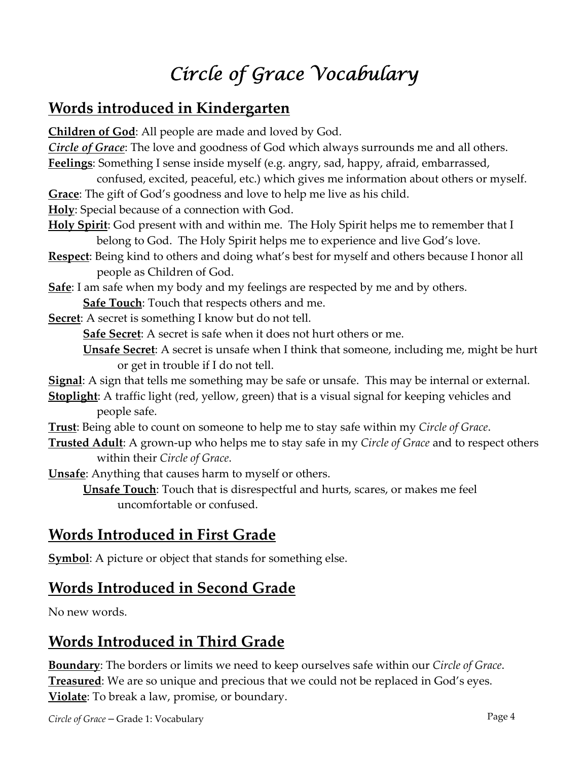## *Circle of Grace Vocabulary*

#### **Words introduced in Kindergarten**

**Children of God**: All people are made and loved by God.

*Circle of Grace*: The love and goodness of God which always surrounds me and all others. **Feelings**: Something I sense inside myself (e.g. angry, sad, happy, afraid, embarrassed,

- confused, excited, peaceful, etc.) which gives me information about others or myself. **Grace**: The gift of God's goodness and love to help me live as his child.
- **Holy**: Special because of a connection with God.
- **Holy Spirit**: God present with and within me. The Holy Spirit helps me to remember that I belong to God. The Holy Spirit helps me to experience and live God's love.
- **Respect**: Being kind to others and doing what's best for myself and others because I honor all people as Children of God.
- **Safe**: I am safe when my body and my feelings are respected by me and by others.

**Safe Touch**: Touch that respects others and me.

**Secret:** A secret is something I know but do not tell.

**Safe Secret**: A secret is safe when it does not hurt others or me.

**Unsafe Secret**: A secret is unsafe when I think that someone, including me, might be hurt or get in trouble if I do not tell.

- **Signal**: A sign that tells me something may be safe or unsafe. This may be internal or external.
- **Stoplight**: A traffic light (red, yellow, green) that is a visual signal for keeping vehicles and people safe.

**Trust**: Being able to count on someone to help me to stay safe within my *Circle of Grace*.

**Trusted Adult**: A grown‐up who helps me to stay safe in my *Circle of Grace* and to respect others within their *Circle of Grace*.

**Unsafe**: Anything that causes harm to myself or others.

**Unsafe Touch**: Touch that is disrespectful and hurts, scares, or makes me feel uncomfortable or confused.

#### **Words Introduced in First Grade**

**Symbol**: A picture or object that stands for something else.

#### **Words Introduced in Second Grade**

No new words.

#### **Words Introduced in Third Grade**

**Boundary**: The borders or limits we need to keep ourselves safe within our *Circle of Grace*. **Treasured**: We are so unique and precious that we could not be replaced in God's eyes. **Violate**: To break a law, promise, or boundary.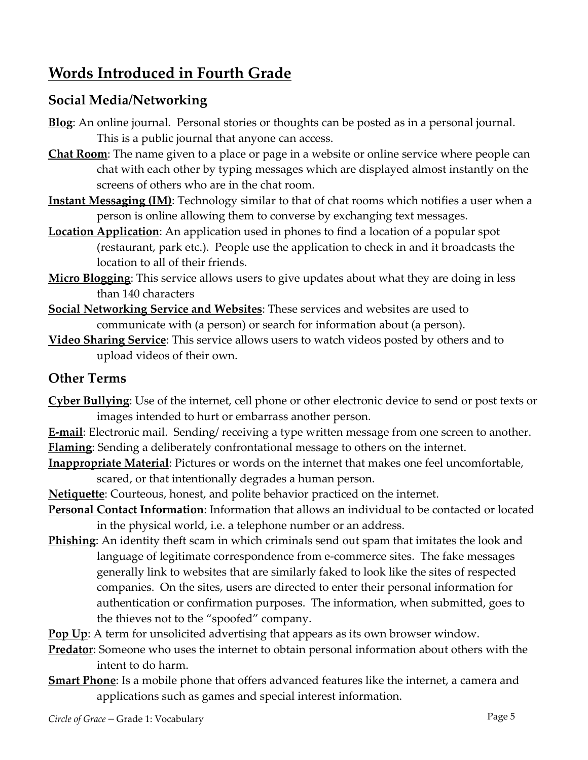#### **Words Introduced in Fourth Grade**

#### **Social Media/Networking**

- **Blog**: An online journal. Personal stories or thoughts can be posted as in a personal journal. This is a public journal that anyone can access.
- **Chat Room**: The name given to a place or page in a website or online service where people can chat with each other by typing messages which are displayed almost instantly on the screens of others who are in the chat room.
- **Instant Messaging (IM)**: Technology similar to that of chat rooms which notifies a user when a person is online allowing them to converse by exchanging text messages.
- **Location Application**: An application used in phones to find a location of a popular spot (restaurant, park etc.). People use the application to check in and it broadcasts the location to all of their friends.
- **Micro Blogging**: This service allows users to give updates about what they are doing in less than 140 characters
- **Social Networking Service and Websites**: These services and websites are used to communicate with (a person) or search for information about (a person).
- **Video Sharing Service**: This service allows users to watch videos posted by others and to upload videos of their own.

#### **Other Terms**

- **Cyber Bullying**: Use of the internet, cell phone or other electronic device to send or post texts or images intended to hurt or embarrass another person.
- **E-mail**: Electronic mail. Sending/ receiving a type written message from one screen to another. **Flaming**: Sending a deliberately confrontational message to others on the internet.
- **Inappropriate Material**: Pictures or words on the internet that makes one feel uncomfortable, scared, or that intentionally degrades a human person.
- **Netiquette**: Courteous, honest, and polite behavior practiced on the internet.
- **Personal Contact Information**: Information that allows an individual to be contacted or located in the physical world, i.e. a telephone number or an address.
- **Phishing**: An identity theft scam in which criminals send out spam that imitates the look and language of legitimate correspondence from e-commerce sites. The fake messages generally link to websites that are similarly faked to look like the sites of respected companies. On the sites, users are directed to enter their personal information for authentication or confirmation purposes. The information, when submitted, goes to the thieves not to the "spoofed" company.
- **Pop Up**: A term for unsolicited advertising that appears as its own browser window.
- **Predator**: Someone who uses the internet to obtain personal information about others with the intent to do harm.
- **Smart Phone**: Is a mobile phone that offers advanced features like the internet, a camera and applications such as games and special interest information.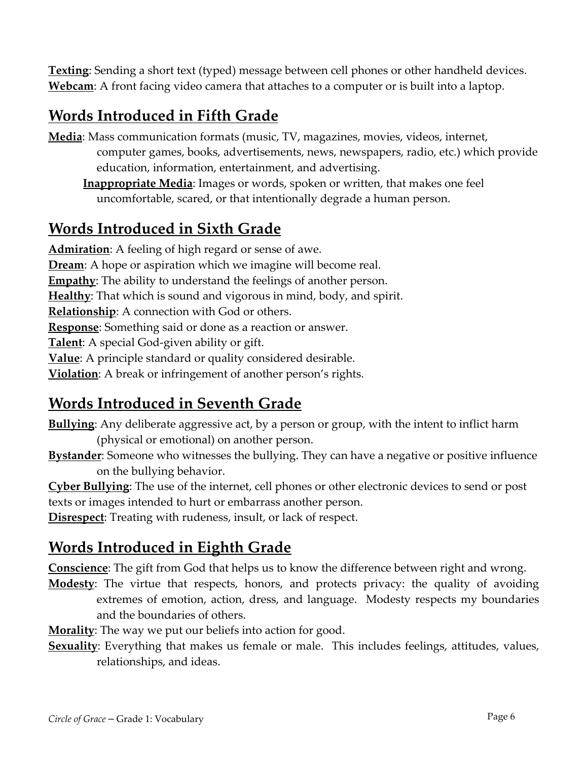**Texting**: Sending a short text (typed) message between cell phones or other handheld devices. **Webcam**: A front facing video camera that attaches to a computer or is built into a laptop.

#### **Words Introduced in Fifth Grade**

**Media**: Mass communication formats (music, TV, magazines, movies, videos, internet, computer games, books, advertisements, news, newspapers, radio, etc.) which provide education, information, entertainment, and advertising.

**Inappropriate Media**: Images or words, spoken or written, that makes one feel uncomfortable, scared, or that intentionally degrade a human person.

#### **Words Introduced in Sixth Grade**

**Admiration**: A feeling of high regard or sense of awe. **Dream**: A hope or aspiration which we imagine will become real. **Empathy**: The ability to understand the feelings of another person. **Healthy**: That which is sound and vigorous in mind, body, and spirit. **Relationship**: A connection with God or others. **Response**: Something said or done as a reaction or answer. **Talent**: A special God‐given ability or gift. **Value**: A principle standard or quality considered desirable. **Violation**: A break or infringement of another person's rights.

#### **Words Introduced in Seventh Grade**

**Bullying**: Any deliberate aggressive act, by a person or group, with the intent to inflict harm (physical or emotional) on another person.

**Bystander**: Someone who witnesses the bullying. They can have a negative or positive influence on the bullying behavior.

**Cyber Bullying**: The use of the internet, cell phones or other electronic devices to send or post texts or images intended to hurt or embarrass another person.

**Disrespect**: Treating with rudeness, insult, or lack of respect.

#### **Words Introduced in Eighth Grade**

**Conscience**: The gift from God that helps us to know the difference between right and wrong.

**Modesty**: The virtue that respects, honors, and protects privacy: the quality of avoiding extremes of emotion, action, dress, and language. Modesty respects my boundaries and the boundaries of others.

**Morality**: The way we put our beliefs into action for good.

**Sexuality**: Everything that makes us female or male. This includes feelings, attitudes, values, relationships, and ideas.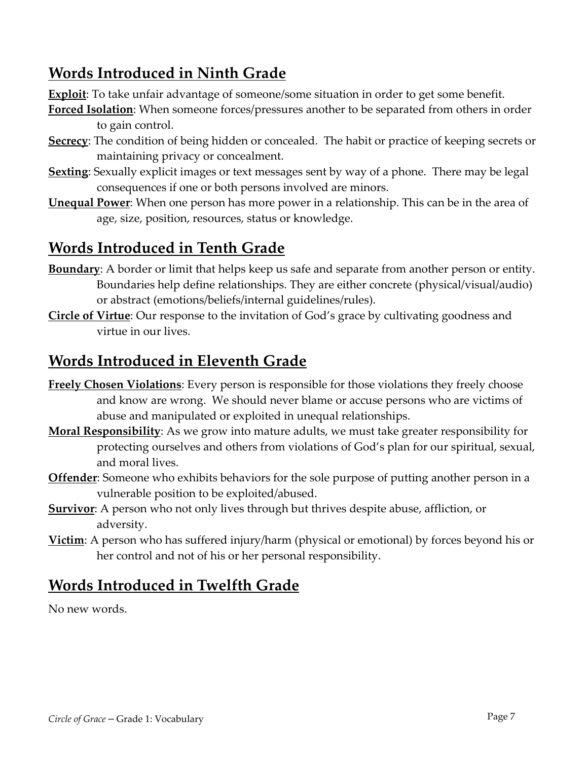#### **Words Introduced in Ninth Grade**

**Exploit**: To take unfair advantage of someone/some situation in order to get some benefit.

- **Forced Isolation**: When someone forces/pressures another to be separated from others in order to gain control.
- **Secrecy**: The condition of being hidden or concealed. The habit or practice of keeping secrets or maintaining privacy or concealment.
- **Sexting**: Sexually explicit images or text messages sent by way of a phone. There may be legal consequences if one or both persons involved are minors.
- **Unequal Power**: When one person has more power in a relationship. This can be in the area of age, size, position, resources, status or knowledge.

#### **Words Introduced in Tenth Grade**

- **Boundary**: A border or limit that helps keep us safe and separate from another person or entity. Boundaries help define relationships. They are either concrete (physical/visual/audio) or abstract (emotions/beliefs/internal guidelines/rules).
- **Circle of Virtue**: Our response to the invitation of God's grace by cultivating goodness and virtue in our lives.

#### **Words Introduced in Eleventh Grade**

- **Freely Chosen Violations**: Every person is responsible for those violations they freely choose and know are wrong. We should never blame or accuse persons who are victims of abuse and manipulated or exploited in unequal relationships.
- **Moral Responsibility**: As we grow into mature adults, we must take greater responsibility for protecting ourselves and others from violations of God's plan for our spiritual, sexual, and moral lives.
- **Offender**: Someone who exhibits behaviors for the sole purpose of putting another person in a vulnerable position to be exploited/abused.
- **Survivor**: A person who not only lives through but thrives despite abuse, affliction, or adversity.
- **Victim**: A person who has suffered injury/harm (physical or emotional) by forces beyond his or her control and not of his or her personal responsibility.

#### **Words Introduced in Twelfth Grade**

No new words.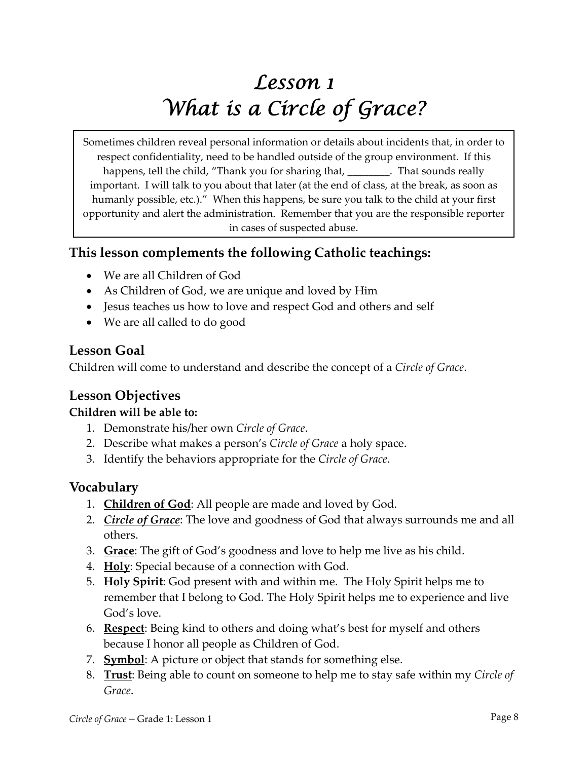## *Lesson 1 What is a Circle of Grace?*

Sometimes children reveal personal information or details about incidents that, in order to respect confidentiality, need to be handled outside of the group environment. If this happens, tell the child, "Thank you for sharing that, \_\_\_\_\_\_\_\_. That sounds really important. I will talk to you about that later (at the end of class, at the break, as soon as humanly possible, etc.)." When this happens, be sure you talk to the child at your first opportunity and alert the administration. Remember that you are the responsible reporter in cases of suspected abuse.

#### **This lesson complements the following Catholic teachings:**

- We are all Children of God
- As Children of God, we are unique and loved by Him
- Jesus teaches us how to love and respect God and others and self
- We are all called to do good

#### **Lesson Goal**

Children will come to understand and describe the concept of a *Circle of Grace*.

#### **Lesson Objectives**

#### **Children will be able to:**

- 1. Demonstrate his/her own *Circle of Grace*.
- 2. Describe what makes a person's *Circle of Grace* a holy space.
- 3. Identify the behaviors appropriate for the *Circle of Grace*.

#### **Vocabulary**

- 1. **Children of God**: All people are made and loved by God.
- 2. *Circle of Grace*: The love and goodness of God that always surrounds me and all others.
- 3. **Grace**: The gift of God's goodness and love to help me live as his child.
- 4. **Holy**: Special because of a connection with God.
- 5. **Holy Spirit**: God present with and within me. The Holy Spirit helps me to remember that I belong to God. The Holy Spirit helps me to experience and live God's love.
- 6. **Respect**: Being kind to others and doing what's best for myself and others because I honor all people as Children of God.
- 7. **Symbol**: A picture or object that stands for something else.
- 8. **Trust**: Being able to count on someone to help me to stay safe within my *Circle of Grace*.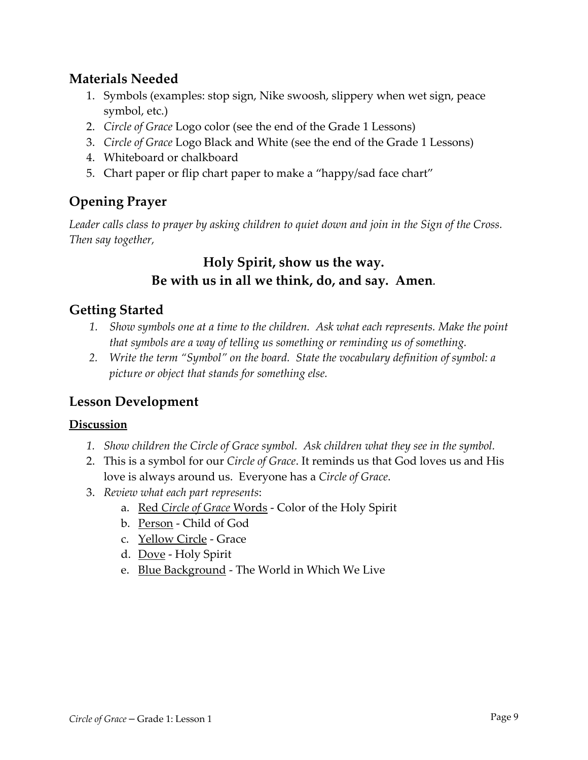#### **Materials Needed**

- 1. Symbols (examples: stop sign, Nike swoosh, slippery when wet sign, peace symbol, etc.)
- 2. *Circle of Grace* Logo color (see the end of the Grade 1 Lessons)
- 3. *Circle of Grace* Logo Black and White (see the end of the Grade 1 Lessons)
- 4. Whiteboard or chalkboard
- 5. Chart paper or flip chart paper to make a "happy/sad face chart"

#### **Opening Prayer**

Leader calls class to prayer by asking children to quiet down and join in the Sign of the Cross. *Then say together,* 

#### **Holy Spirit, show us the way. Be with us in all we think, do, and say. Amen***.*

#### **Getting Started**

- *1. Show symbols one at a time to the children. Ask what each represents. Make the point that symbols are a way of telling us something or reminding us of something.*
- *2. Write the term "Symbol" on the board. State the vocabulary definition of symbol: a picture or object that stands for something else.*

#### **Lesson Development**

#### **Discussion**

- *1. Show children the Circle of Grace symbol. Ask children what they see in the symbol.*
- 2. This is a symbol for our *Circle of Grace*. It reminds us that God loves us and His love is always around us. Everyone has a *Circle of Grace*.
- 3. *Review what each part represents*:
	- a. Red *Circle of Grace* Words ‐ Color of the Holy Spirit
	- b. Person ‐ Child of God
	- c. Yellow Circle ‐ Grace
	- d. Dove ‐ Holy Spirit
	- e. Blue Background ‐ The World in Which We Live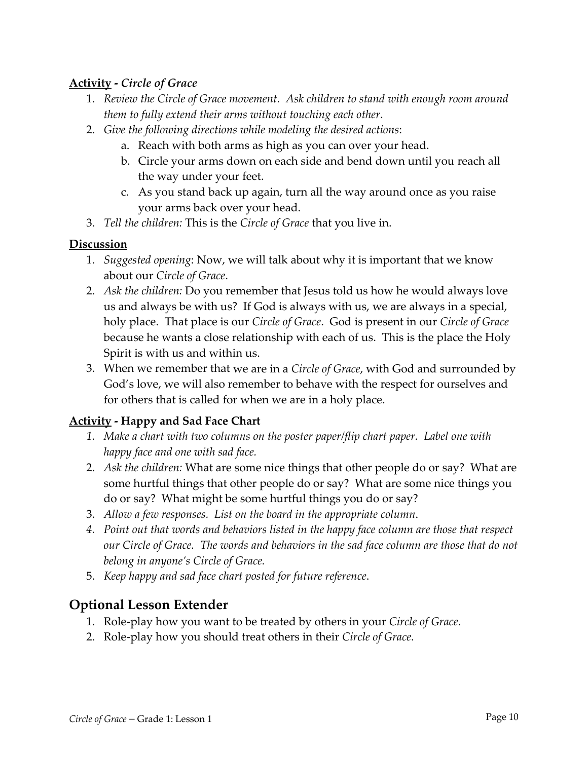#### **Activity ‐** *Circle of Grace*

- 1. *Review the Circle of Grace movement. Ask children to stand with enough room around them to fully extend their arms without touching each other*.
- 2. *Give the following directions while modeling the desired actions*:
	- a. Reach with both arms as high as you can over your head.
	- b. Circle your arms down on each side and bend down until you reach all the way under your feet.
	- c. As you stand back up again, turn all the way around once as you raise your arms back over your head.
- 3. *Tell the children:* This is the *Circle of Grace* that you live in.

#### **Discussion**

- 1. *Suggested opening*: Now, we will talk about why it is important that we know about our *Circle of Grace*.
- 2. *Ask the children:* Do you remember that Jesus told us how he would always love us and always be with us? If God is always with us, we are always in a special, holy place. That place is our *Circle of Grace*. God is present in our *Circle of Grace* because he wants a close relationship with each of us. This is the place the Holy Spirit is with us and within us.
- 3. When we remember that we are in a *Circle of Grace*, with God and surrounded by God's love, we will also remember to behave with the respect for ourselves and for others that is called for when we are in a holy place.

#### **Activity ‐ Happy and Sad Face Chart**

- *1. Make a chart with two columns on the poster paper/flip chart paper. Label one with happy face and one with sad face.*
- 2. *Ask the children:* What are some nice things that other people do or say? What are some hurtful things that other people do or say? What are some nice things you do or say? What might be some hurtful things you do or say?
- 3. *Allow a few responses. List on the board in the appropriate column*.
- *4. Point out that words and behaviors listed in the happy face column are those that respect our Circle of Grace. The words and behaviors in the sad face column are those that do not belong in anyone's Circle of Grace.*
- 5. *Keep happy and sad face chart posted for future reference*.

#### **Optional Lesson Extender**

- 1. Role‐play how you want to be treated by others in your *Circle of Grace*.
- 2. Role‐play how you should treat others in their *Circle of Grace*.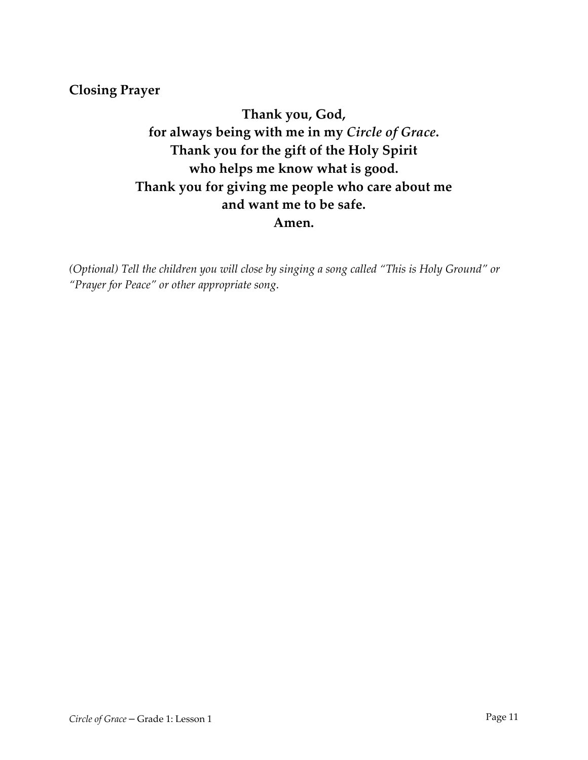#### **Closing Prayer**

#### **Thank you, God, for always being with me in my** *Circle of Grace***. Thank you for the gift of the Holy Spirit who helps me know what is good. Thank you for giving me people who care about me and want me to be safe. Amen.**

*(Optional) Tell the children you will close by singing a song called "This is Holy Ground" or "Prayer for Peace" or other appropriate song*.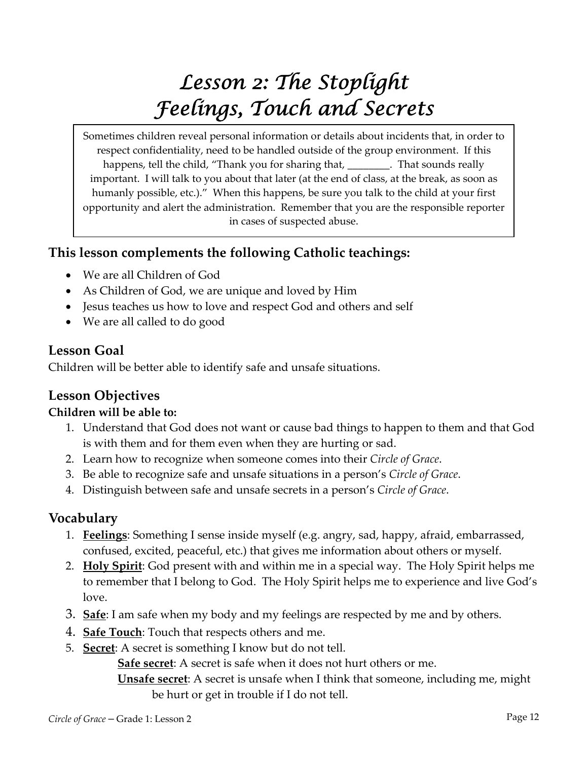## *Lesson 2: The Stoplight Feelings, Touch and Secrets*

Sometimes children reveal personal information or details about incidents that, in order to respect confidentiality, need to be handled outside of the group environment. If this happens, tell the child, "Thank you for sharing that, \_\_\_\_\_\_\_\_. That sounds really important. I will talk to you about that later (at the end of class, at the break, as soon as humanly possible, etc.)." When this happens, be sure you talk to the child at your first opportunity and alert the administration. Remember that you are the responsible reporter in cases of suspected abuse.

#### **This lesson complements the following Catholic teachings:**

- We are all Children of God
- As Children of God, we are unique and loved by Him
- Jesus teaches us how to love and respect God and others and self
- We are all called to do good

#### **Lesson Goal**

Children will be better able to identify safe and unsafe situations.

#### **Lesson Objectives**

#### **Children will be able to:**

- 1. Understand that God does not want or cause bad things to happen to them and that God is with them and for them even when they are hurting or sad.
- 2. Learn how to recognize when someone comes into their *Circle of Grace*.
- 3. Be able to recognize safe and unsafe situations in a person's *Circle of Grace*.
- 4. Distinguish between safe and unsafe secrets in a person's *Circle of Grace*.

#### **Vocabulary**

- 1. **Feelings**: Something I sense inside myself (e.g. angry, sad, happy, afraid, embarrassed, confused, excited, peaceful, etc.) that gives me information about others or myself.
- 2. **Holy Spirit**: God present with and within me in a special way. The Holy Spirit helps me to remember that I belong to God. The Holy Spirit helps me to experience and live God's love.
- 3. **Safe**: I am safe when my body and my feelings are respected by me and by others.
- 4. **Safe Touch**: Touch that respects others and me.
- 5. **Secret**: A secret is something I know but do not tell.

**Safe secret**: A secret is safe when it does not hurt others or me.

**Unsafe secret**: A secret is unsafe when I think that someone, including me, might be hurt or get in trouble if I do not tell.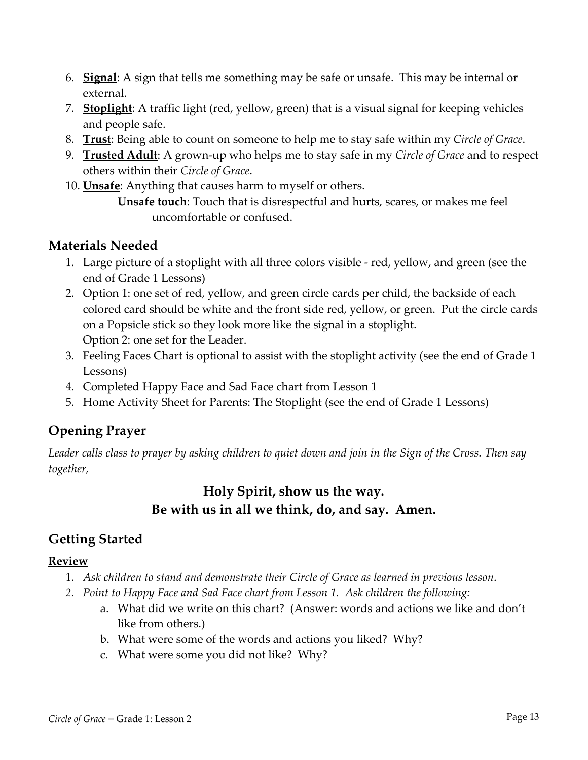- 6. **Signal**: A sign that tells me something may be safe or unsafe. This may be internal or external.
- 7. **Stoplight**: A traffic light (red, yellow, green) that is a visual signal for keeping vehicles and people safe.
- 8. **Trust**: Being able to count on someone to help me to stay safe within my *Circle of Grace*.
- 9. **Trusted Adult**: A grown‐up who helps me to stay safe in my *Circle of Grace* and to respect others within their *Circle of Grace*.
- 10. **Unsafe**: Anything that causes harm to myself or others.

#### **Materials Needed**

- 1. Large picture of a stoplight with all three colors visible ‐ red, yellow, and green (see the end of Grade 1 Lessons)
- 2. Option 1: one set of red, yellow, and green circle cards per child, the backside of each colored card should be white and the front side red, yellow, or green. Put the circle cards on a Popsicle stick so they look more like the signal in a stoplight. Option 2: one set for the Leader.
- 3. Feeling Faces Chart is optional to assist with the stoplight activity (see the end of Grade 1 Lessons)
- 4. Completed Happy Face and Sad Face chart from Lesson 1
- 5. Home Activity Sheet for Parents: The Stoplight (see the end of Grade 1 Lessons)

#### **Opening Prayer**

Leader calls class to prayer by asking children to quiet down and join in the Sign of the Cross. Then say *together,*

#### **Holy Spirit, show us the way. Be with us in all we think, do, and say. Amen.**

#### **Getting Started**

#### **Review**

- 1. *Ask children to stand and demonstrate their Circle of Grace as learned in previous lesson*.
- *2. Point to Happy Face and Sad Face chart from Lesson 1. Ask children the following:*
	- a. What did we write on this chart? (Answer: words and actions we like and don't like from others.)
	- b. What were some of the words and actions you liked? Why?
	- c. What were some you did not like? Why?

**Unsafe touch**: Touch that is disrespectful and hurts, scares, or makes me feel uncomfortable or confused.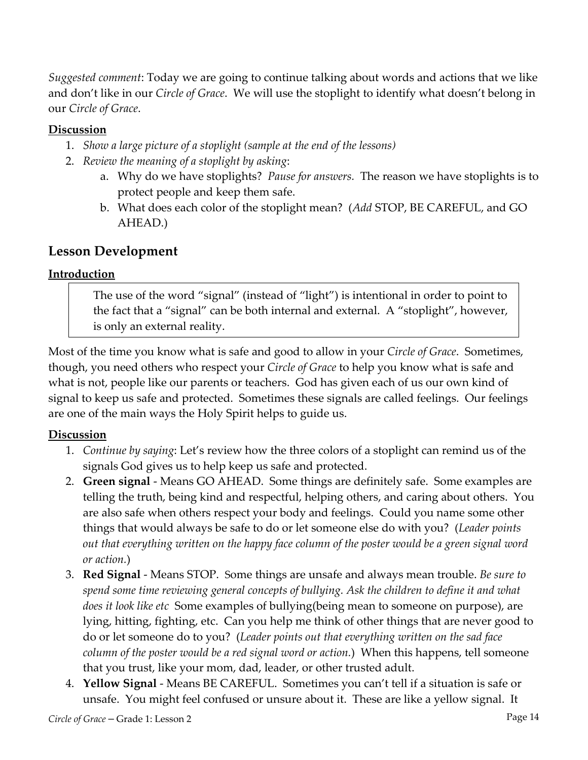*Suggested comment*: Today we are going to continue talking about words and actions that we like and don't like in our *Circle of Grace*. We will use the stoplight to identify what doesn't belong in our *Circle of Grace*.

#### **Discussion**

- 1. *Show a large picture of a stoplight (sample at the end of the lessons)*
- 2. *Review the meaning of a stoplight by asking*:
	- a. Why do we have stoplights? *Pause for answers.* The reason we have stoplights is to protect people and keep them safe.
	- b. What does each color of the stoplight mean? (*Add* STOP, BE CAREFUL, and GO AHEAD.)

#### **Lesson Development**

#### **Introduction**

The use of the word "signal" (instead of "light") is intentional in order to point to the fact that a "signal" can be both internal and external. A "stoplight", however, is only an external reality.

Most of the time you know what is safe and good to allow in your *Circle of Grace*. Sometimes, though, you need others who respect your *Circle of Grace* to help you know what is safe and what is not, people like our parents or teachers. God has given each of us our own kind of signal to keep us safe and protected. Sometimes these signals are called feelings. Our feelings are one of the main ways the Holy Spirit helps to guide us.

#### **Discussion**

- 1. *Continue by saying*: Let's review how the three colors of a stoplight can remind us of the signals God gives us to help keep us safe and protected.
- 2. **Green signal** ‐ Means GO AHEAD. Some things are definitely safe. Some examples are telling the truth, being kind and respectful, helping others, and caring about others. You are also safe when others respect your body and feelings. Could you name some other things that would always be safe to do or let someone else do with you? (*Leader points out that everything written on the happy face column of the poster would be a green signal word or action.*)
- 3. **Red Signal** ‐ Means STOP. Some things are unsafe and always mean trouble. *Be sure to spend some time reviewing general concepts of bullying. Ask the children to define it and what does it look like etc* Some examples of bullying(being mean to someone on purpose), are lying, hitting, fighting, etc. Can you help me think of other things that are never good to do or let someone do to you? (*Leader points out that everything written on the sad face column of the poster would be a red signal word or action.*) When this happens, tell someone that you trust, like your mom, dad, leader, or other trusted adult.
- 4. **Yellow Signal** ‐ Means BE CAREFUL. Sometimes you can't tell if a situation is safe or unsafe. You might feel confused or unsure about it. These are like a yellow signal. It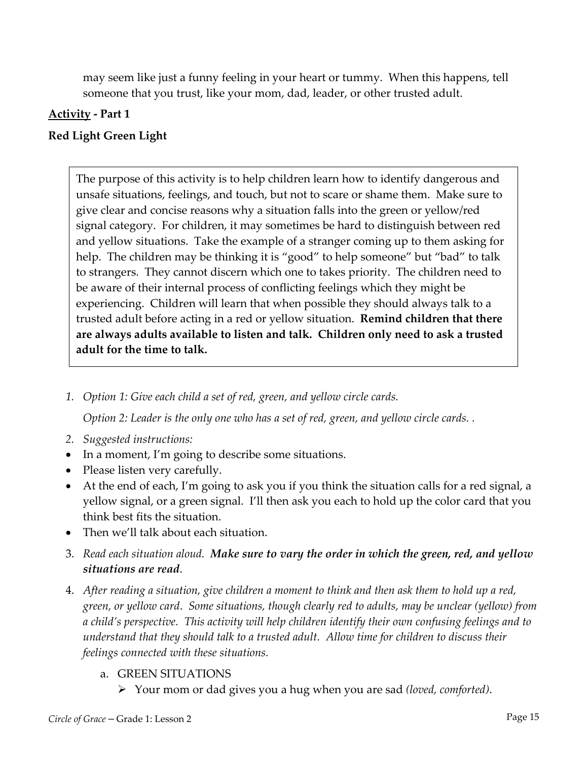may seem like just a funny feeling in your heart or tummy. When this happens, tell someone that you trust, like your mom, dad, leader, or other trusted adult.

#### **Activity ‐ Part 1**

#### **Red Light Green Light**

The purpose of this activity is to help children learn how to identify dangerous and unsafe situations, feelings, and touch, but not to scare or shame them. Make sure to give clear and concise reasons why a situation falls into the green or yellow/red signal category. For children, it may sometimes be hard to distinguish between red and yellow situations. Take the example of a stranger coming up to them asking for help. The children may be thinking it is "good" to help someone" but "bad" to talk to strangers. They cannot discern which one to takes priority. The children need to be aware of their internal process of conflicting feelings which they might be experiencing. Children will learn that when possible they should always talk to a trusted adult before acting in a red or yellow situation. **Remind children that there are always adults available to listen and talk. Children only need to ask a trusted adult for the time to talk.**

*1. Option 1: Give each child a set of red, green, and yellow circle cards.* 

*Option 2: Leader is the only one who has a set of red, green, and yellow circle cards. .*

- *2. Suggested instructions:*
- In a moment, I'm going to describe some situations.
- Please listen very carefully.
- At the end of each, I'm going to ask you if you think the situation calls for a red signal, a yellow signal, or a green signal. I'll then ask you each to hold up the color card that you think best fits the situation.
- Then we'll talk about each situation.
- 3. *Read each situation aloud. Make sure to vary the order in which the green, red, and yellow situations are read*.
- 4. After reading a situation, give children a moment to think and then ask them to hold up a red, *green, or yellow card*. *Some situations, though clearly red to adults, may be unclear (yellow) from a child's perspective. This activity will help children identify their own confusing feelings and to understand that they should talk to a trusted adult.**Allow time for children to discuss their feelings connected with these situations.*
	- a. GREEN SITUATIONS
		- Your mom or dad gives you a hug when you are sad *(loved, comforted)*.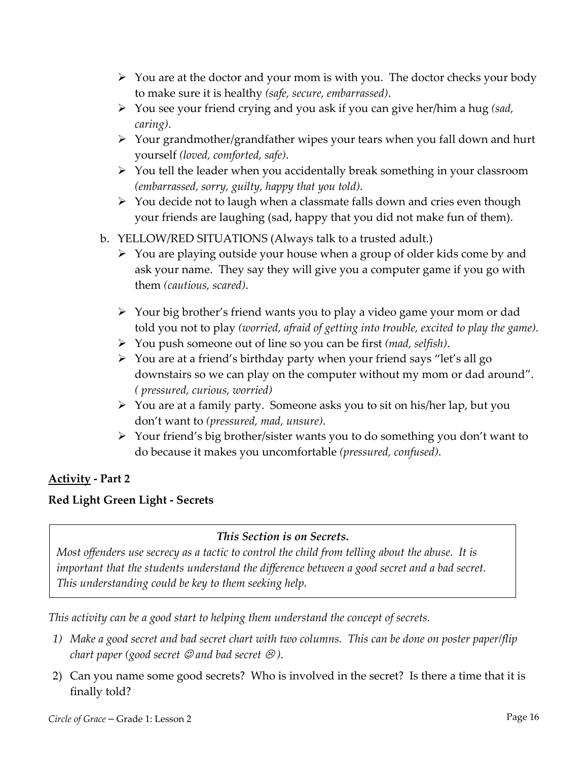- $\triangleright$  You are at the doctor and your mom is with you. The doctor checks your body to make sure it is healthy *(safe, secure, embarrassed)*.
- You see your friend crying and you ask if you can give her/him a hug *(sad, caring)*.
- Your grandmother/grandfather wipes your tears when you fall down and hurt yourself *(loved, comforted, safe)*.
- $\triangleright$  You tell the leader when you accidentally break something in your classroom *(embarrassed, sorry, guilty, happy that you told)*.
- $\triangleright$  You decide not to laugh when a classmate falls down and cries even though your friends are laughing (sad, happy that you did not make fun of them).
- b. YELLOW/RED SITUATIONS (Always talk to a trusted adult.)
	- $\triangleright$  You are playing outside your house when a group of older kids come by and ask your name. They say they will give you a computer game if you go with them *(cautious, scared)*.
	- Your big brother's friend wants you to play a video game your mom or dad told you not to play *(worried, afraid of getting into trouble, excited to play the game).*
	- You push someone out of line so you can be first *(mad, selfish)*.
	- $\triangleright$  You are at a friend's birthday party when your friend says "let's all go downstairs so we can play on the computer without my mom or dad around". *( pressured, curious, worried)*
	- You are at a family party. Someone asks you to sit on his/her lap, but you don't want to *(pressured, mad, unsure)*.
	- $\triangleright$  Your friend's big brother/sister wants you to do something you don't want to do because it makes you uncomfortable *(pressured, confused)*.

#### **Activity ‐ Part 2**

#### **Red Light Green Light ‐ Secrets**

#### *This Section is on Secrets.*

Most offenders use secrecy as a tactic to control the child from telling about the abuse. It is *important that the students understand the difference between a good secret and a bad secret. This understanding could be key to them seeking help.*

*This activity can be a good start to helping them understand the concept of secrets.*

- 1) Make a good secret and bad secret chart with two columns. This can be done on poster paper/flip *chart* paper (good secret  $\mathcal{Q}$  and bad secret  $\mathcal{Q}$ ).
- 2) Can you name some good secrets? Who is involved in the secret? Is there a time that it is finally told?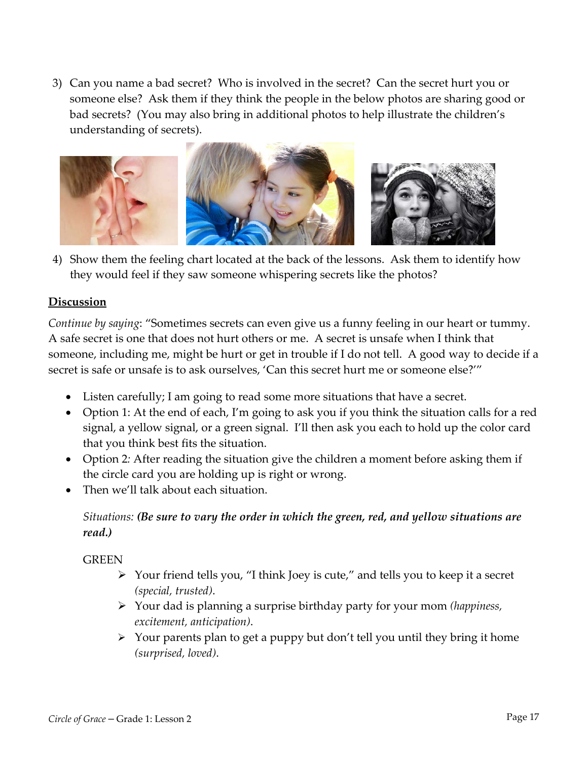3) Can you name a bad secret? Who is involved in the secret? Can the secret hurt you or someone else? Ask them if they think the people in the below photos are sharing good or bad secrets? (You may also bring in additional photos to help illustrate the children's understanding of secrets).



4) Show them the feeling chart located at the back of the lessons. Ask them to identify how they would feel if they saw someone whispering secrets like the photos?

#### **Discussion**

*Continue by saying*: "Sometimes secrets can even give us a funny feeling in our heart or tummy. A safe secret is one that does not hurt others or me. A secret is unsafe when I think that someone, including me, might be hurt or get in trouble if I do not tell. A good way to decide if a secret is safe or unsafe is to ask ourselves, 'Can this secret hurt me or someone else?'"

- Listen carefully; I am going to read some more situations that have a secret.
- Option 1: At the end of each, I'm going to ask you if you think the situation calls for a red signal, a yellow signal, or a green signal. I'll then ask you each to hold up the color card that you think best fits the situation.
- Option 2*:* After reading the situation give the children a moment before asking them if the circle card you are holding up is right or wrong.
- Then we'll talk about each situation.

#### *Situations: (Be sure to vary the order in which the green, red, and yellow situations are read.)*

#### GREEN

- $\triangleright$  Your friend tells you, "I think Joey is cute," and tells you to keep it a secret *(special, trusted)*.
- Your dad is planning a surprise birthday party for your mom *(happiness, excitement, anticipation)*.
- $\triangleright$  Your parents plan to get a puppy but don't tell you until they bring it home *(surprised, loved)*.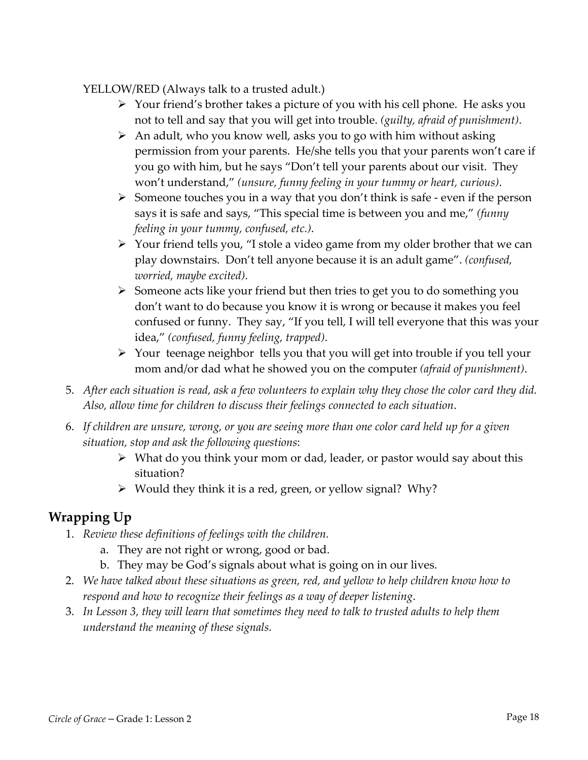YELLOW/RED (Always talk to a trusted adult.)

- $\triangleright$  Your friend's brother takes a picture of you with his cell phone. He asks you not to tell and say that you will get into trouble. *(guilty, afraid of punishment)*.
- $\triangleright$  An adult, who you know well, asks you to go with him without asking permission from your parents. He/she tells you that your parents won't care if you go with him, but he says "Don't tell your parents about our visit. They won't understand," *(unsure, funny feeling in your tummy or heart, curious)*.
- $\triangleright$  Someone touches you in a way that you don't think is safe even if the person says it is safe and says, "This special time is between you and me," *(funny feeling in your tummy, confused, etc.)*.
- $\triangleright$  Your friend tells you, "I stole a video game from my older brother that we can play downstairs. Don't tell anyone because it is an adult game". *(confused, worried, maybe excited)*.
- $\triangleright$  Someone acts like your friend but then tries to get you to do something you don't want to do because you know it is wrong or because it makes you feel confused or funny. They say, "If you tell, I will tell everyone that this was your idea," *(confused, funny feeling, trapped)*.
- $\triangleright$  Your teenage neighbor tells you that you will get into trouble if you tell your mom and/or dad what he showed you on the computer *(afraid of punishment)*.
- 5. After each situation is read, ask a few volunteers to explain why they chose the color card they did. *Also, allow time for children to discuss their feelings connected to each situation*.
- 6. If children are unsure, wrong, or you are seeing more than one color card held up for a given *situation, stop and ask the following questions*:
	- $\triangleright$  What do you think your mom or dad, leader, or pastor would say about this situation?
	- $\triangleright$  Would they think it is a red, green, or yellow signal? Why?

#### **Wrapping Up**

- 1. *Review these definitions of feelings with the children.*
	- a. They are not right or wrong, good or bad.
	- b. They may be God's signals about what is going on in our lives.
- 2. *We have talked about these situations as green, red, and yellow to help children know how to respond and how to recognize their feelings as a way of deeper listening*.
- 3. *In Lesson 3, they will learn that sometimes they need to talk to trusted adults to help them understand the meaning of these signals.*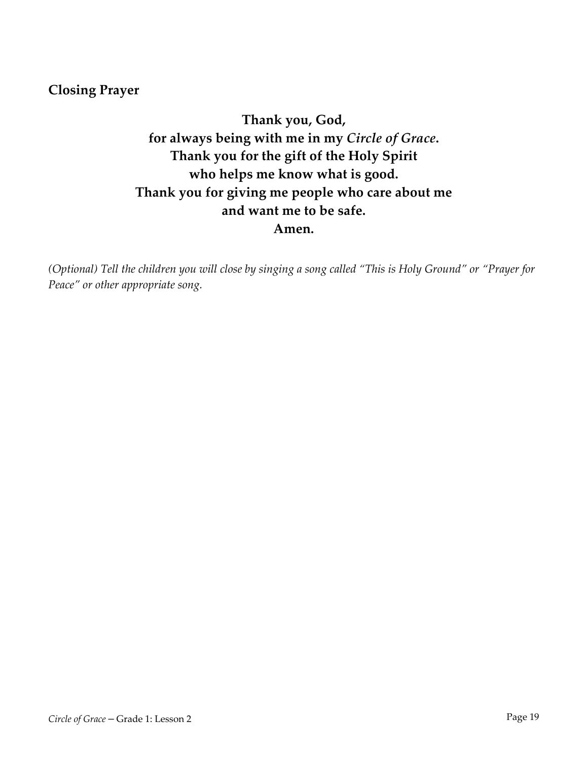#### **Closing Prayer**

#### **Thank you, God, for always being with me in my** *Circle of Grace***. Thank you for the gift of the Holy Spirit who helps me know what is good. Thank you for giving me people who care about me and want me to be safe. Amen.**

(Optional) Tell the children you will close by singing a song called "This is Holy Ground" or "Prayer for *Peace" or other appropriate song.*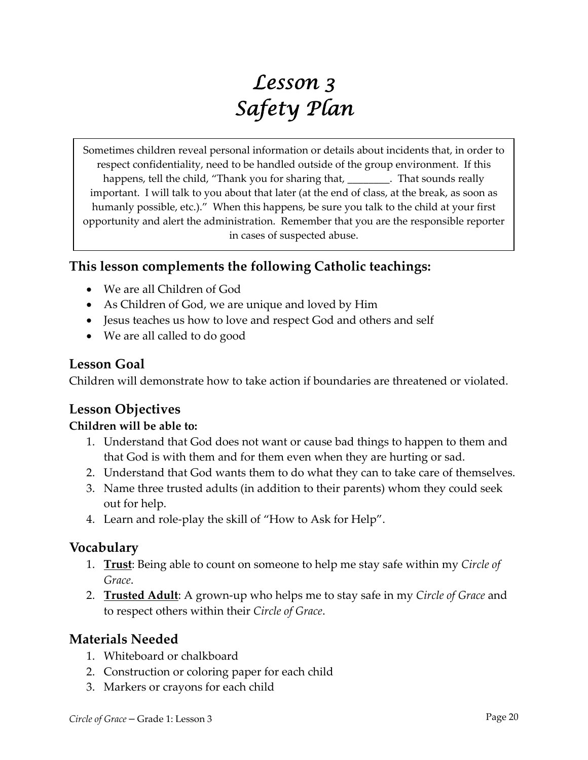## *Lesson 3 Safety Plan*

Sometimes children reveal personal information or details about incidents that, in order to respect confidentiality, need to be handled outside of the group environment. If this happens, tell the child, "Thank you for sharing that, \_\_\_\_\_\_\_\_. That sounds really important. I will talk to you about that later (at the end of class, at the break, as soon as humanly possible, etc.)." When this happens, be sure you talk to the child at your first opportunity and alert the administration. Remember that you are the responsible reporter in cases of suspected abuse.

#### **This lesson complements the following Catholic teachings:**

- We are all Children of God
- As Children of God, we are unique and loved by Him
- Jesus teaches us how to love and respect God and others and self
- We are all called to do good

#### **Lesson Goal**

Children will demonstrate how to take action if boundaries are threatened or violated.

#### **Lesson Objectives**

#### **Children will be able to:**

- 1. Understand that God does not want or cause bad things to happen to them and that God is with them and for them even when they are hurting or sad.
- 2. Understand that God wants them to do what they can to take care of themselves.
- 3. Name three trusted adults (in addition to their parents) whom they could seek out for help.
- 4. Learn and role‐play the skill of "How to Ask for Help".

#### **Vocabulary**

- 1. **Trust**: Being able to count on someone to help me stay safe within my *Circle of Grace*.
- 2. **Trusted Adult**: A grown‐up who helps me to stay safe in my *Circle of Grace* and to respect others within their *Circle of Grace*.

#### **Materials Needed**

- 1. Whiteboard or chalkboard
- 2. Construction or coloring paper for each child
- 3. Markers or crayons for each child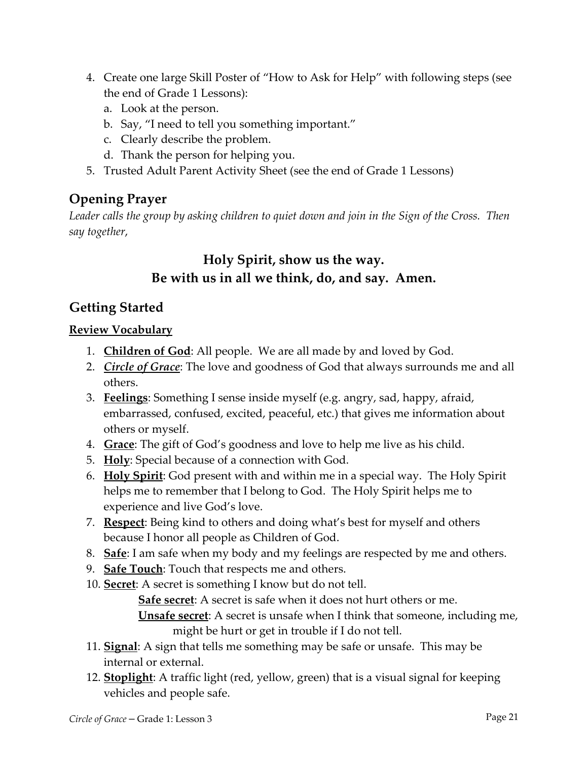- 4. Create one large Skill Poster of "How to Ask for Help" with following steps (see the end of Grade 1 Lessons):
	- a. Look at the person.
	- b. Say, "I need to tell you something important."
	- c. Clearly describe the problem.
	- d. Thank the person for helping you.
- 5. Trusted Adult Parent Activity Sheet (see the end of Grade 1 Lessons)

#### **Opening Prayer**

Leader calls the group by asking children to quiet down and join in the Sign of the Cross. Then *say together*,

#### **Holy Spirit, show us the way. Be with us in all we think, do, and say. Amen.**

#### **Getting Started**

#### **Review Vocabulary**

- 1. **Children of God**: All people. We are all made by and loved by God.
- 2. *Circle of Grace*: The love and goodness of God that always surrounds me and all others.
- 3. **Feelings**: Something I sense inside myself (e.g. angry, sad, happy, afraid, embarrassed, confused, excited, peaceful, etc.) that gives me information about others or myself.
- 4. **Grace**: The gift of God's goodness and love to help me live as his child.
- 5. **Holy**: Special because of a connection with God.
- 6. **Holy Spirit**: God present with and within me in a special way. The Holy Spirit helps me to remember that I belong to God. The Holy Spirit helps me to experience and live God's love.
- 7. **Respect**: Being kind to others and doing what's best for myself and others because I honor all people as Children of God.
- 8. **Safe**: I am safe when my body and my feelings are respected by me and others.
- 9. **Safe Touch**: Touch that respects me and others.
- 10. **Secret**: A secret is something I know but do not tell.

**Safe secret**: A secret is safe when it does not hurt others or me.

**Unsafe secret**: A secret is unsafe when I think that someone, including me, might be hurt or get in trouble if I do not tell.

- 11. **Signal**: A sign that tells me something may be safe or unsafe. This may be internal or external.
- 12. **Stoplight**: A traffic light (red, yellow, green) that is a visual signal for keeping vehicles and people safe.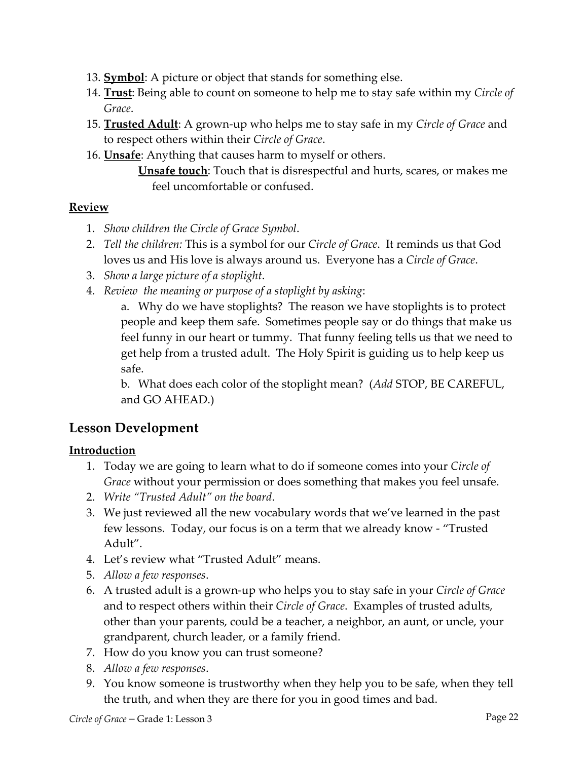- 13. **Symbol**: A picture or object that stands for something else.
- 14. **Trust**: Being able to count on someone to help me to stay safe within my *Circle of Grace*.
- 15. **Trusted Adult**: A grown‐up who helps me to stay safe in my *Circle of Grace* and to respect others within their *Circle of Grace*.
- 16. **Unsafe**: Anything that causes harm to myself or others.

**Unsafe touch**: Touch that is disrespectful and hurts, scares, or makes me feel uncomfortable or confused.

#### **Review**

- 1. *Show children the Circle of Grace Symbol*.
- 2. *Tell the children:* This is a symbol for our *Circle of Grace*. It reminds us that God loves us and His love is always around us. Everyone has a *Circle of Grace*.
- 3. *Show a large picture of a stoplight*.
- 4. *Review the meaning or purpose of a stoplight by asking*:

a. Why do we have stoplights? The reason we have stoplights is to protect people and keep them safe. Sometimes people say or do things that make us feel funny in our heart or tummy. That funny feeling tells us that we need to get help from a trusted adult. The Holy Spirit is guiding us to help keep us safe.

b. What does each color of the stoplight mean? (*Add* STOP, BE CAREFUL, and GO AHEAD.)

#### **Lesson Development**

#### **Introduction**

- 1. Today we are going to learn what to do if someone comes into your *Circle of Grace* without your permission or does something that makes you feel unsafe.
- 2. *Write "Trusted Adult" on the board*.
- 3. We just reviewed all the new vocabulary words that we've learned in the past few lessons. Today, our focus is on a term that we already know ‐ "Trusted Adult".
- 4. Let's review what "Trusted Adult" means.
- 5. *Allow a few responses*.
- 6. A trusted adult is a grown‐up who helps you to stay safe in your *Circle of Grace* and to respect others within their *Circle of Grace*. Examples of trusted adults, other than your parents, could be a teacher, a neighbor, an aunt, or uncle, your grandparent, church leader, or a family friend.
- 7. How do you know you can trust someone?
- 8. *Allow a few responses*.
- 9. You know someone is trustworthy when they help you to be safe, when they tell the truth, and when they are there for you in good times and bad.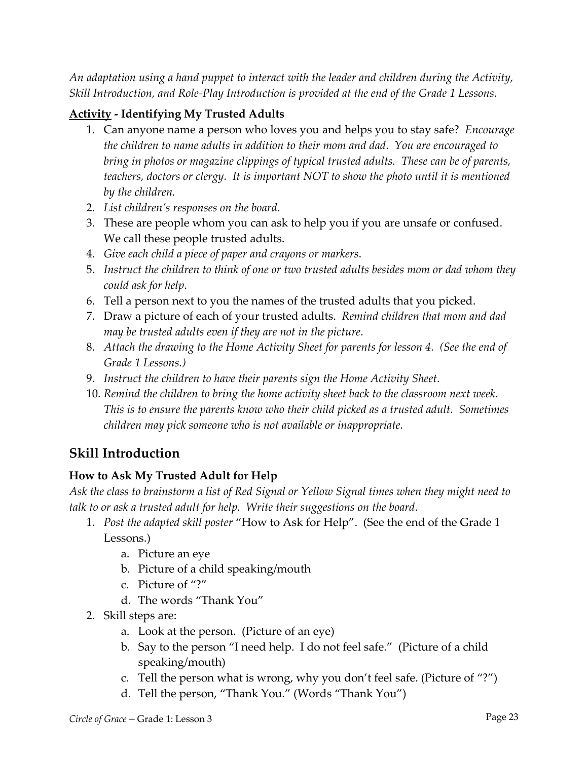*An adaptation using a hand puppet to interact with the leader and children during the Activity, Skill Introduction, and Role‐Play Introduction is provided at the end of the Grade 1 Lessons.*

#### **Activity ‐ Identifying My Trusted Adults**

- 1. Can anyone name a person who loves you and helps you to stay safe? *Encourage the children to name adults in addition to their mom and dad*. *You are encouraged to bring in photos or magazine clippings of typical trusted adults. These can be of parents, teachers, doctors or clergy. It is important NOT to show the photo until it is mentioned by the children.*
- 2. *List children's responses on the board*.
- 3. These are people whom you can ask to help you if you are unsafe or confused. We call these people trusted adults.
- 4. *Give each child a piece of paper and crayons or markers*.
- 5. *Instruct the children to think of one or two trusted adults besides mom or dad whom they could ask for help*.
- 6. Tell a person next to you the names of the trusted adults that you picked.
- 7. Draw a picture of each of your trusted adults. *Remind children that mom and dad may be trusted adults even if they are not in the picture*.
- 8. *Attach the drawing to the Home Activity Sheet for parents for lesson 4. (See the end of Grade 1 Lessons.)*
- 9. *Instruct the children to have their parents sign the Home Activity Sheet*.
- 10. *Remind the children to bring the home activity sheet back to the classroom next week*. *This is to ensure the parents know who their child picked as a trusted adult. Sometimes children may pick someone who is not available or inappropriate.*

#### **Skill Introduction**

#### **How to Ask My Trusted Adult for Help**

Ask the class to brainstorm a list of Red Signal or Yellow Signal times when they might need to *talk to or ask a trusted adult for help. Write their suggestions on the board*.

- 1. *Post the adapted skill poster* "How to Ask for Help". (See the end of the Grade 1 Lessons.)
	- a. Picture an eye
	- b. Picture of a child speaking/mouth
	- c. Picture of "?"
	- d. The words "Thank You"
- 2. Skill steps are:
	- a. Look at the person. (Picture of an eye)
	- b. Say to the person "I need help. I do not feel safe." (Picture of a child speaking/mouth)
	- c. Tell the person what is wrong, why you don't feel safe. (Picture of "?")
	- d. Tell the person, "Thank You." (Words "Thank You")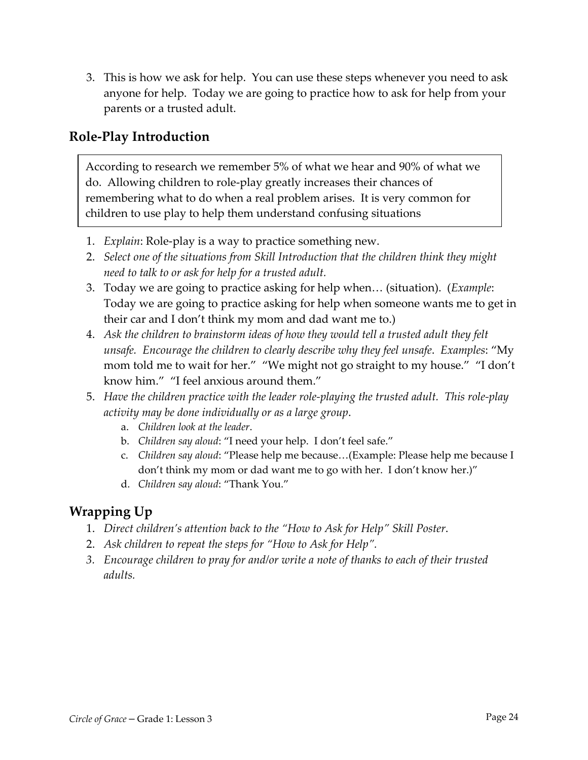3. This is how we ask for help. You can use these steps whenever you need to ask anyone for help. Today we are going to practice how to ask for help from your parents or a trusted adult.

#### **Role‐Play Introduction**

According to research we remember 5% of what we hear and 90% of what we do. Allowing children to role‐play greatly increases their chances of remembering what to do when a real problem arises. It is very common for children to use play to help them understand confusing situations

- 1. *Explain*: Role‐play is a way to practice something new.
- 2. *Select one of the situations from Skill Introduction that the children think they might need to talk to or ask for help for a trusted adult.*
- 3. Today we are going to practice asking for help when… (situation). (*Example*: Today we are going to practice asking for help when someone wants me to get in their car and I don't think my mom and dad want me to.)
- 4. *Ask the children to brainstorm ideas of how they would tell a trusted adult they felt unsafe. Encourage the children to clearly describe why they feel unsafe*. *Examples*: "My mom told me to wait for her." "We might not go straight to my house." "I don't know him." "I feel anxious around them."
- 5. *Have the children practice with the leader role‐playing the trusted adult. This role‐play activity may be done individually or as a large group*.
	- a. *Children look at the leader*.
	- b. *Children say aloud*: "I need your help. I don't feel safe."
	- c. *Children say aloud*: "Please help me because…(Example: Please help me because I don't think my mom or dad want me to go with her. I don't know her.)"
	- d. *Children say aloud*: "Thank You."

#### **Wrapping Up**

- 1. *Direct children's attention back to the "How to Ask for Help" Skill Poster*.
- 2. *Ask children to repeat the steps for "How to Ask for Help".*
- *3. Encourage children to pray for and/or write a note of thanks to each of their trusted adults.*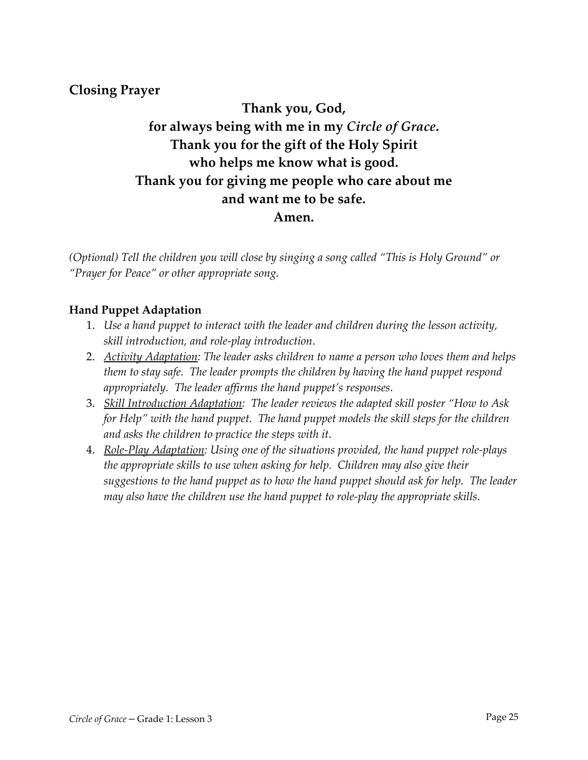#### **Closing Prayer**

#### **Thank you, God, for always being with me in my** *Circle of Grace***. Thank you for the gift of the Holy Spirit who helps me know what is good. Thank you for giving me people who care about me and want me to be safe. Amen.**

*(Optional) Tell the children you will close by singing a song called "This is Holy Ground" or "Prayer for Peace" or other appropriate song.*

#### **Hand Puppet Adaptation**

- 1. *Use a hand puppet to interact with the leader and children during the lesson activity, skill introduction, and role‐play introduction*.
- 2. *Activity Adaptation: The leader asks children to name a person who loves them and helps them to stay safe. The leader prompts the children by having the hand puppet respond appropriately. The leader affirms the hand puppet's responses*.
- 3. *Skill Introduction Adaptation: The leader reviews the adapted skill poster "How to Ask for Help" with the hand puppet. The hand puppet models the skill steps for the children and asks the children to practice the steps with it*.
- 4. *Role‐Play Adaptation: Using one of the situations provided, the hand puppet role‐plays the appropriate skills to use when asking for help. Children may also give their suggestions to the hand puppet as to how the hand puppet should ask for help. The leader may also have the children use the hand puppet to role‐play the appropriate skills*.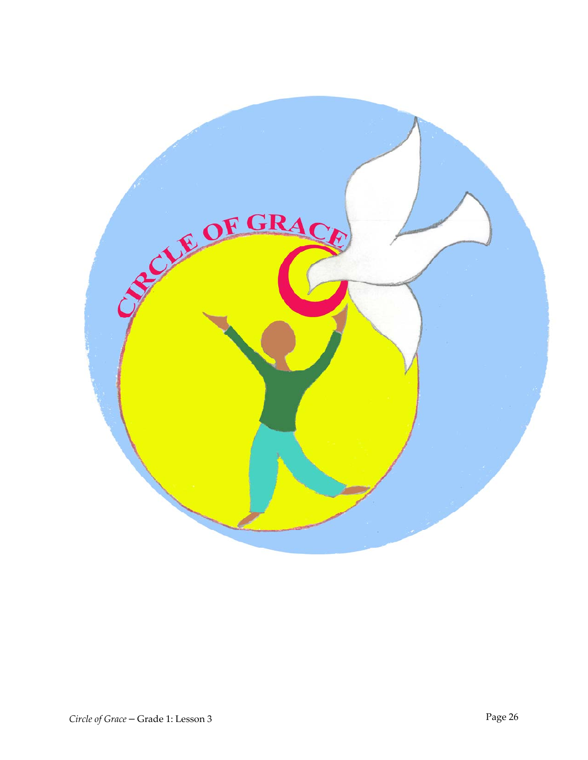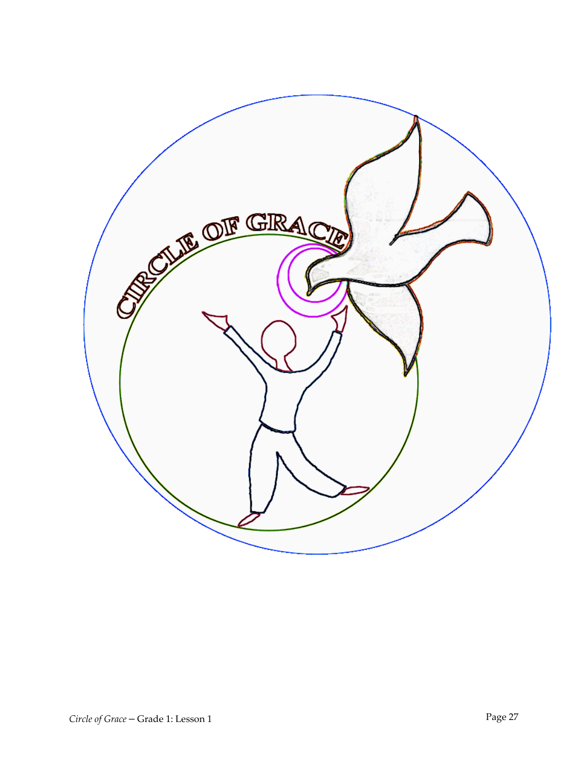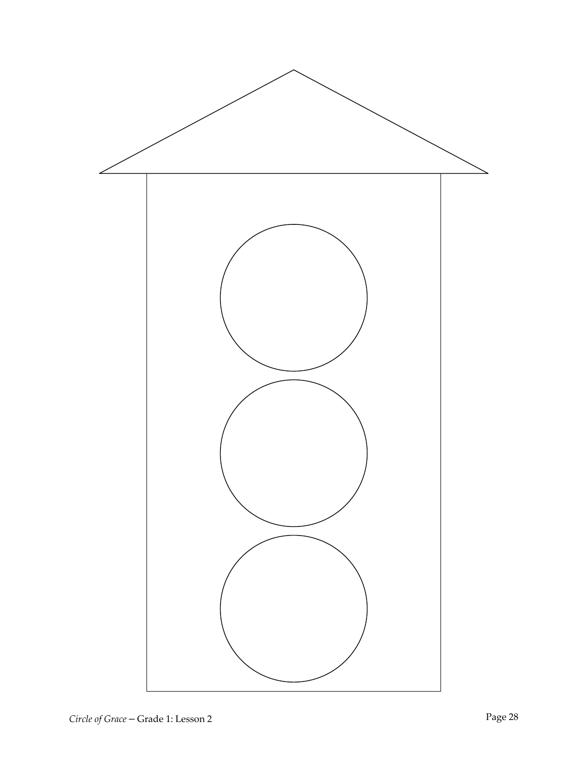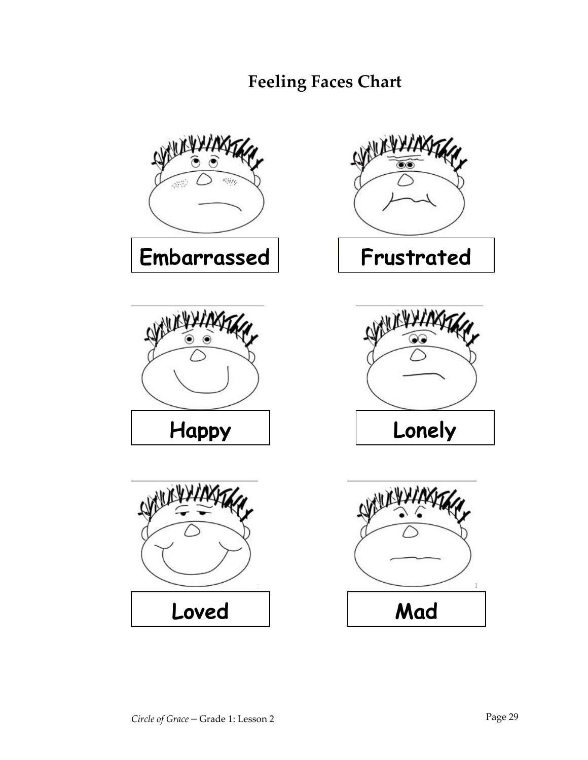**Feeling Faces Chart**

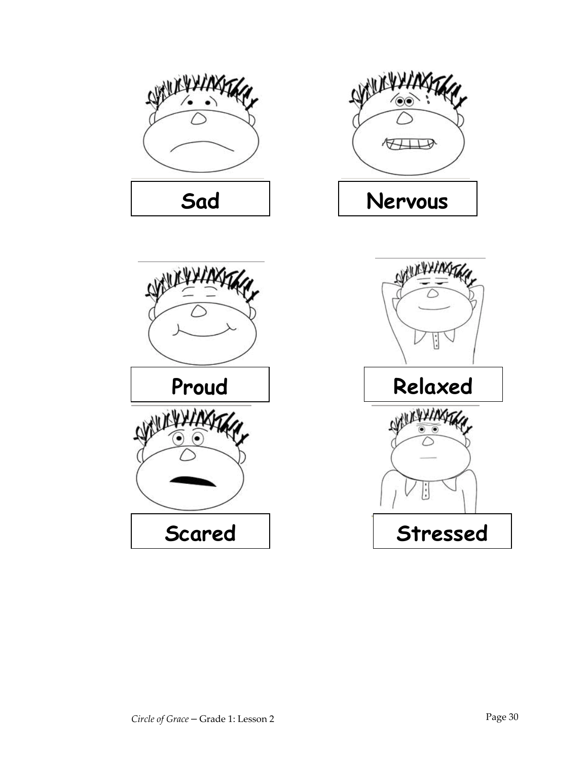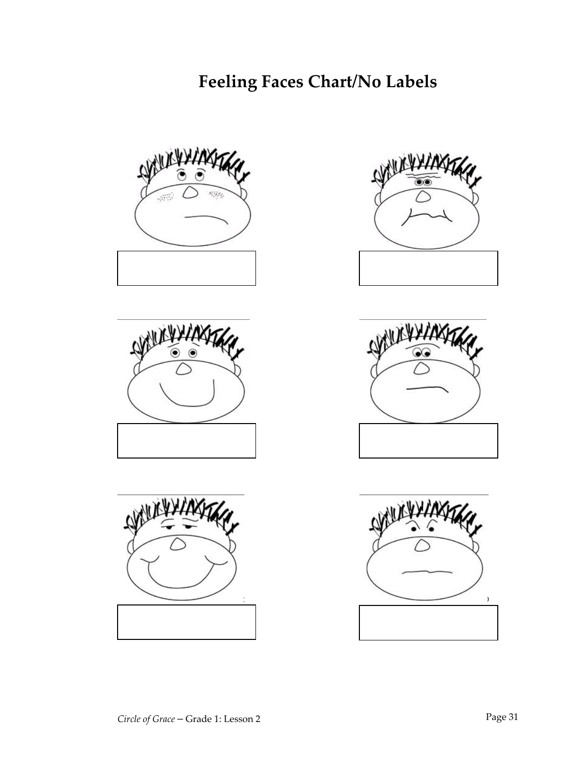**Feeling Faces Chart/No Labels**







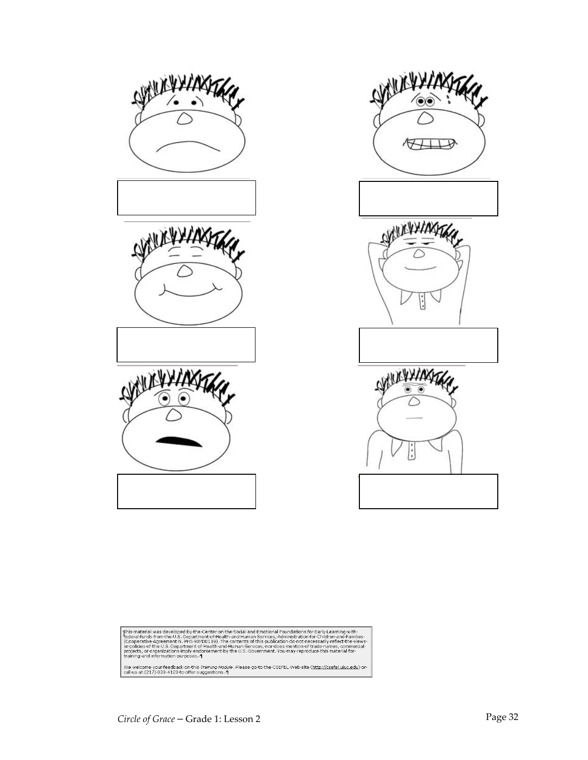



| mhis-material-was-developed-by-the-Center-on-the-Social-and-Emotional-Foundations-for-Early-Learning-with-<br>federal funds from the U.S. Department of Health and Human Services, Administration for Children and Families<br>(Cooperative Agreement N. PHS 90YD0119). The contents of this publication do not necessarily reflect the views<br>or policies of the U.S. Department of Health and Human Services, nor does mention of trade names, commercial<br>projects, or organizations imply endorsement by the U.S. Government. You may reproduce this material for-<br>training and information purposes. 1 |
|--------------------------------------------------------------------------------------------------------------------------------------------------------------------------------------------------------------------------------------------------------------------------------------------------------------------------------------------------------------------------------------------------------------------------------------------------------------------------------------------------------------------------------------------------------------------------------------------------------------------|
|                                                                                                                                                                                                                                                                                                                                                                                                                                                                                                                                                                                                                    |

We-welcome-your-feedback-on-this*-Training-Module*. Please-go-to-the-CSEFEL-Web-site-(<u>http://csefel.uiuc.edu</u>)-or-<br>call-us-at-(217)-333-4123 to-offer-suggestions.•¶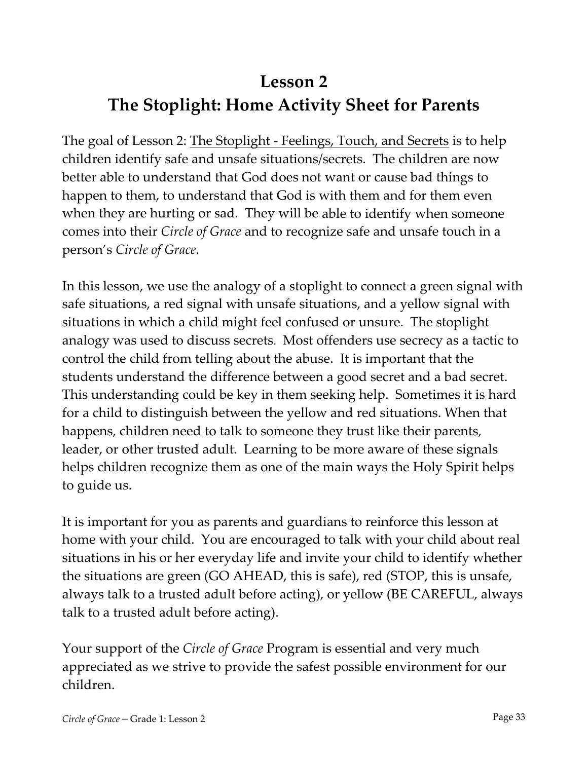## **Lesson 2 The Stoplight: Home Activity Sheet for Parents**

The goal of Lesson 2: The Stoplight - Feelings, Touch, and Secrets is to help children identify safe and unsafe situations/secrets. The children are now better able to understand that God does not want or cause bad things to happen to them, to understand that God is with them and for them even when they are hurting or sad. They will be able to identify when someone comes into their *Circle of Grace* and to recognize safe and unsafe touch in a person's *Circle of Grace*.

In this lesson, we use the analogy of a stoplight to connect a green signal with safe situations, a red signal with unsafe situations, and a yellow signal with situations in which a child might feel confused or unsure. The stoplight analogy was used to discuss secrets. Most offenders use secrecy as a tactic to control the child from telling about the abuse. It is important that the students understand the difference between a good secret and a bad secret. This understanding could be key in them seeking help. Sometimes it is hard for a child to distinguish between the yellow and red situations. When that happens, children need to talk to someone they trust like their parents, leader, or other trusted adult. Learning to be more aware of these signals helps children recognize them as one of the main ways the Holy Spirit helps to guide us.

It is important for you as parents and guardians to reinforce this lesson at home with your child. You are encouraged to talk with your child about real situations in his or her everyday life and invite your child to identify whether the situations are green (GO AHEAD, this is safe), red (STOP, this is unsafe, always talk to a trusted adult before acting), or yellow (BE CAREFUL, always talk to a trusted adult before acting).

Your support of the *Circle of Grace* Program is essential and very much appreciated as we strive to provide the safest possible environment for our children.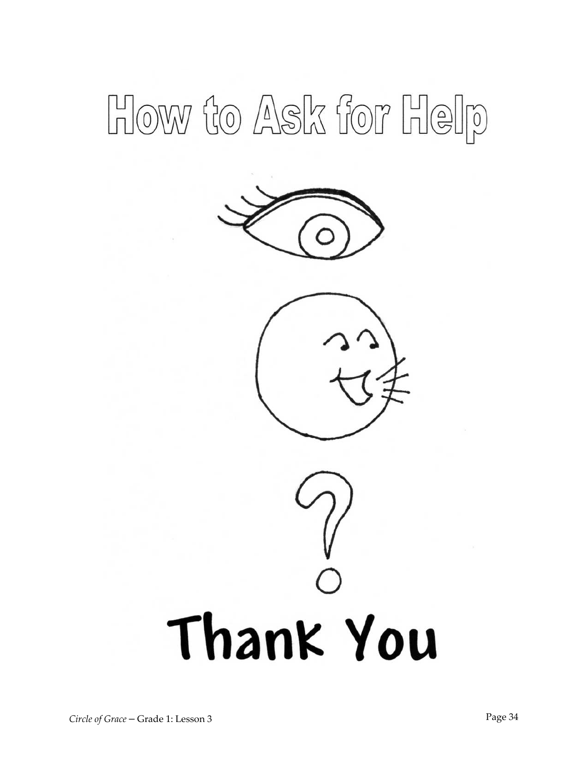## How to Ask for Help





# Thank You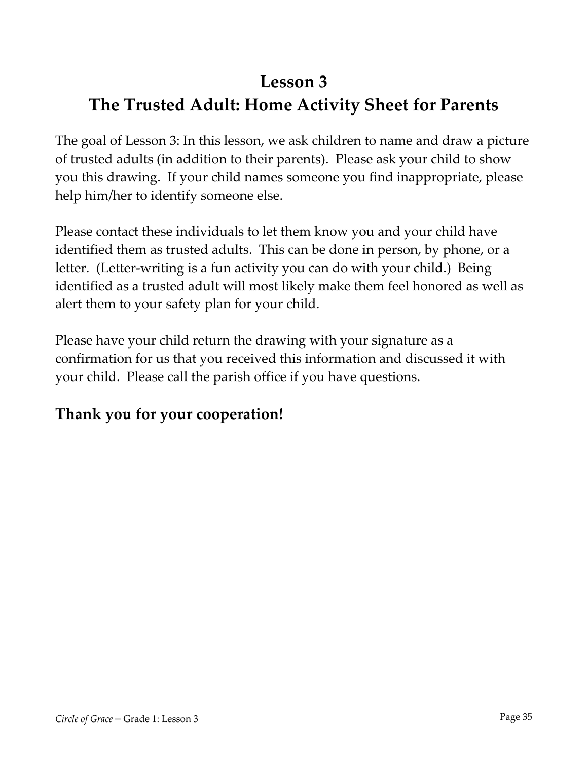#### **Lesson 3**

## **The Trusted Adult: Home Activity Sheet for Parents**

The goal of Lesson 3: In this lesson, we ask children to name and draw a picture of trusted adults (in addition to their parents). Please ask your child to show you this drawing. If your child names someone you find inappropriate, please help him/her to identify someone else.

Please contact these individuals to let them know you and your child have identified them as trusted adults. This can be done in person, by phone, or a letter. (Letter-writing is a fun activity you can do with your child.) Being identified as a trusted adult will most likely make them feel honored as well as alert them to your safety plan for your child.

Please have your child return the drawing with your signature as a confirmation for us that you received this information and discussed it with your child. Please call the parish office if you have questions.

#### **Thank you for your cooperation!**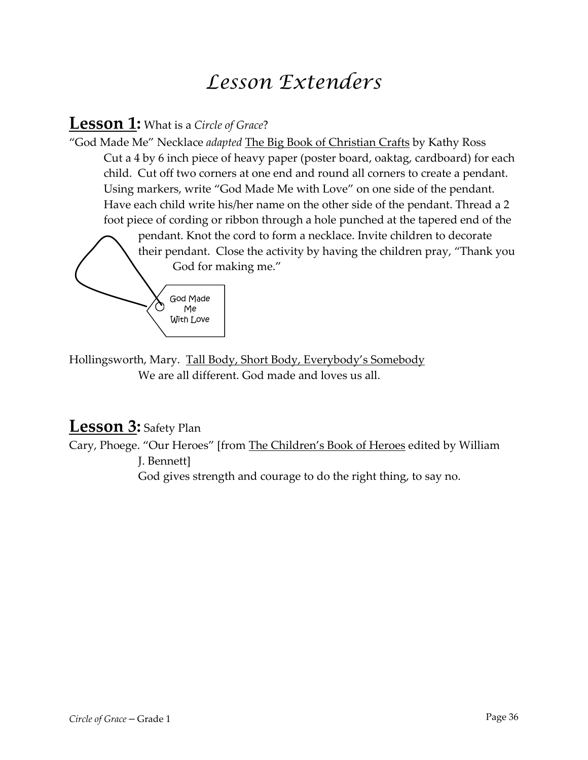## *Lesson Extenders*

#### **Lesson 1:** What is <sup>a</sup> *Circle of Grace*?



Hollingsworth, Mary. Tall Body, Short Body, Everybody's Somebody We are all different. God made and loves us all.

#### **Lesson 3:** Safety Plan

Cary, Phoege. "Our Heroes" [from The Children's Book of Heroes edited by William J. Bennett]

God gives strength and courage to do the right thing, to say no.